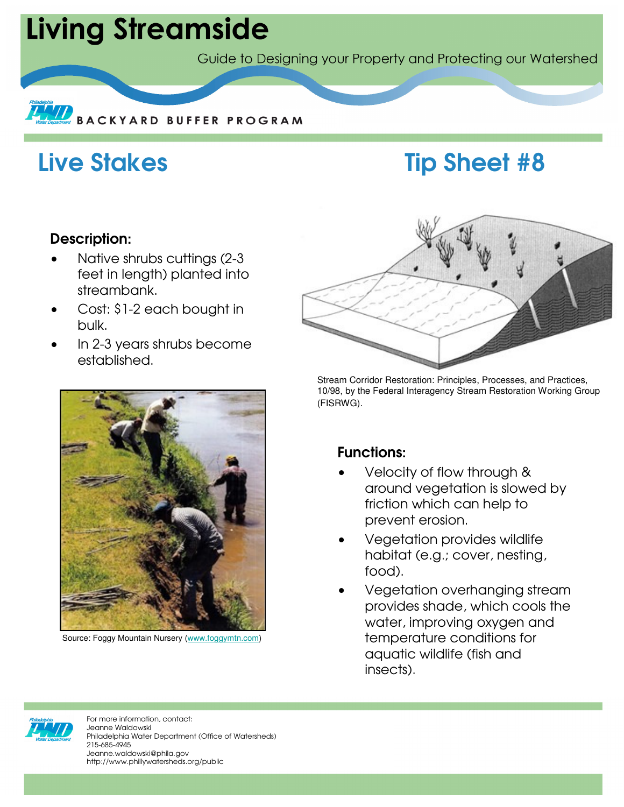# **Living Streamside**

Guide to Designing your Property and Protecting our Watershed



## Live Stakes Tip Sheet #8

### Description:

- Native shrubs cuttings (2-3 feet in length) planted into streambank.
- Cost: \$1-2 each bought in bulk.
- In 2-3 years shrubs become established.



Source: Foggy Mountain Nursery (www.foggymtn.com)



Stream Corridor Restoration: Principles, Processes, and Practices, 10/98, by the Federal Interagency Stream Restoration Working Group (FISRWG).

## Functions:

- Velocity of flow through & around vegetation is slowed by friction which can help to prevent erosion.
- Vegetation provides wildlife habitat (e.g.; cover, nesting, food).
- Vegetation overhanging stream provides shade, which cools the water, improving oxygen and temperature conditions for aquatic wildlife (fish and insects).



For more information, contact: Jeanne Waldowski Philadelphia Water Department (Office of Watersheds) 215-685-4945 Jeanne.waldowski@phila.gov http://www.phillywatersheds.org/public